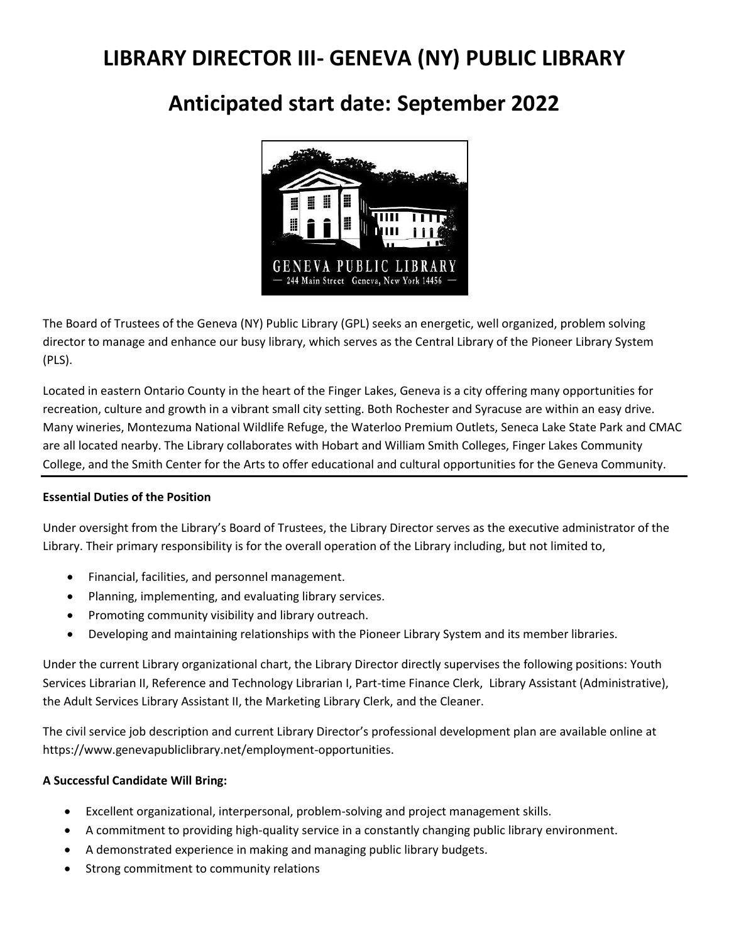# **LIBRARY DIRECTOR III- GENEVA (NY) PUBLIC LIBRARY**

## **Anticipated start date: September 2022**



The Board of Trustees of the Geneva (NY) Public Library (GPL) seeks an energetic, well organized, problem solving director to manage and enhance our busy library, which serves as the Central Library of the Pioneer Library System (PLS).

Located in eastern Ontario County in the heart of the Finger Lakes, Geneva is a city offering many opportunities for recreation, culture and growth in a vibrant small city setting. Both Rochester and Syracuse are within an easy drive. Many wineries, Montezuma National Wildlife Refuge, the Waterloo Premium Outlets, Seneca Lake State Park and CMAC are all located nearby. The Library collaborates with Hobart and William Smith Colleges, Finger Lakes Community College, and the Smith Center for the Arts to offer educational and cultural opportunities for the Geneva Community.

#### **Essential Duties of the Position**

Under oversight from the Library's Board of Trustees, the Library Director serves as the executive administrator of the Library. Their primary responsibility is for the overall operation of the Library including, but not limited to,

- Financial, facilities, and personnel management.
- Planning, implementing, and evaluating library services.
- Promoting community visibility and library outreach.
- Developing and maintaining relationships with the Pioneer Library System and its member libraries.

Under the current Library organizational chart, the Library Director directly supervises the following positions: Youth Services Librarian II, Reference and Technology Librarian I, Part-time Finance Clerk, Library Assistant (Administrative), the Adult Services Library Assistant II, the Marketing Library Clerk, and the Cleaner.

The civil service job description and current Library Director's professional development plan are available online at https://www.genevapubliclibrary.net/employment-opportunities.

### **A Successful Candidate Will Bring:**

- Excellent organizational, interpersonal, problem-solving and project management skills.
- A commitment to providing high-quality service in a constantly changing public library environment.
- A demonstrated experience in making and managing public library budgets.
- Strong commitment to community relations